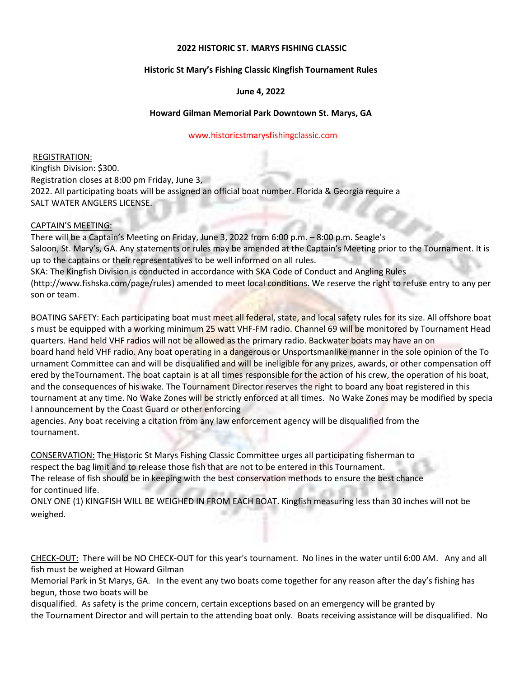## **2022 HISTORIC ST. MARYS FISHING CLASSIC**

# **Historic St Mary's Fishing Classic Kingfish Tournament Rules**

## **June 4, 2022**

## **Howard Gilman Memorial Park Downtown St. Marys, GA**

#### www.historicstmarysfishingclassic.com

REGISTRATION: Kingfish Division: \$300. Registration closes at 8:00 pm Friday, June 3, 2022. All participating boats will be assigned an official boat number. Florida & Georgia require a SALT WATER ANGLERS LICENSE.

#### CAPTAIN'S MEETING:

There will be a Captain's Meeting on Friday, June 3, 2022 from 6:00 p.m. – 8:00 p.m. Seagle's Saloon, St. Mary's, GA. Any statements or rules may be amended at the Captain's Meeting prior to the Tournament. It is up to the captains or their representatives to be well informed on all rules. SKA: The Kingfish Division is conducted in accordance with SKA Code of Conduct and Angling Rules (http://www.fishska.com/page/rules) amended to meet local conditions. We reserve the right to refuse entry to any per son or team.

BOATING SAFETY: Each participating boat must meet all federal, state, and local safety rules for its size. All offshore boat s must be equipped with a working minimum 25 watt VHF-FM radio. Channel 69 will be monitored by Tournament Head quarters. Hand held VHF radios will not be allowed as the primary radio. Backwater boats may have an on board hand held VHF radio. Any boat operating in a dangerous or Unsportsmanlike manner in the sole opinion of the To urnament Committee can and will be disqualified and will be ineligible for any prizes, awards, or other compensation off ered by theTournament. The boat captain is at all times responsible for the action of his crew, the operation of his boat, and the consequences of his wake. The Tournament Director reserves the right to board any boat registered in this tournament at any time. No Wake Zones will be strictly enforced at all times. No Wake Zones may be modified by specia l announcement by the Coast Guard or other enforcing

agencies. Any boat receiving a citation from any law enforcement agency will be disqualified from the tournament.

CONSERVATION: The Historic St Marys Fishing Classic Committee urges all participating fisherman to respect the bag limit and to release those fish that are not to be entered in this Tournament. The release of fish should be in keeping with the best conservation methods to ensure the best chance for continued life.

ONLY ONE (1) KINGFISH WILL BE WEIGHED IN FROM EACH BOAT. Kingfish measuring less than 30 inches will not be weighed.

CHECK-OUT: There will be NO CHECK-OUT for this year's tournament. No lines in the water until 6:00 AM. Any and all fish must be weighed at Howard Gilman

Memorial Park in St Marys, GA. In the event any two boats come together for any reason after the day's fishing has begun, those two boats will be

disqualified. As safety is the prime concern, certain exceptions based on an emergency will be granted by the Tournament Director and will pertain to the attending boat only. Boats receiving assistance will be disqualified. No